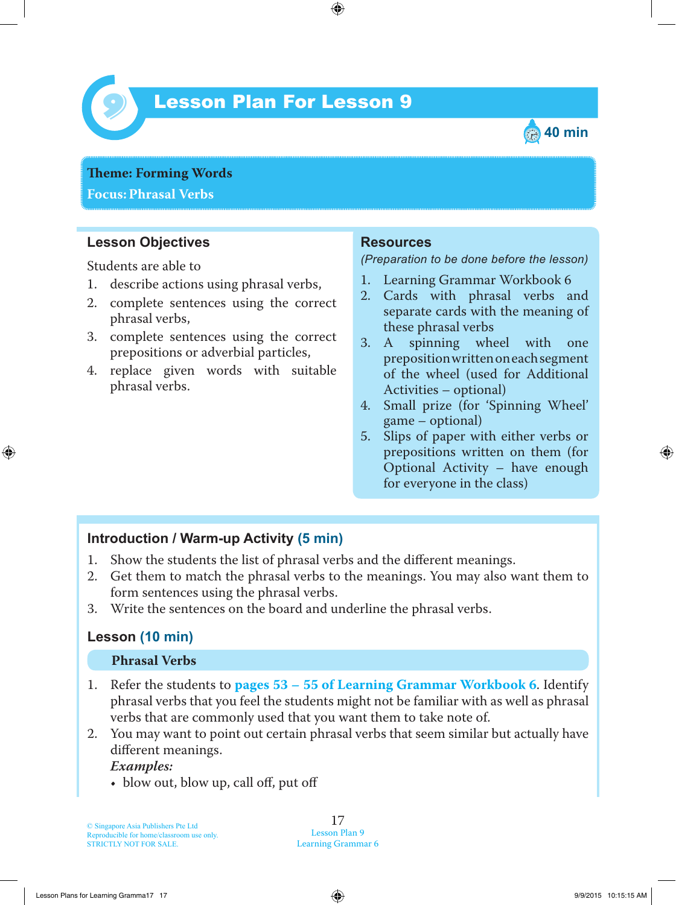

# Lesson Plan For Lesson 9 *9*



**Theme: Forming Words Focus: Phrasal Verbs**

### **Lesson Objectives**

Students are able to

- 1. describe actions using phrasal verbs,
- 2. complete sentences using the correct phrasal verbs,
- 3. complete sentences using the correct prepositions or adverbial particles,
- 4. replace given words with suitable phrasal verbs.

#### **Resources**

*(Preparation to be done before the lesson)*

- 1. Learning Grammar Workbook 6
- 2. Cards with phrasal verbs and separate cards with the meaning of these phrasal verbs<br>3. A spinning who
- spinning wheel with one preposition written on each segment of the wheel (used for Additional Activities – optional)
- 4. Small prize (for 'Spinning Wheel' game – optional)
- 5. Slips of paper with either verbs or prepositions written on them (for Optional Activity – have enough for everyone in the class)

#### **Introduction / Warm-up Activity (5 min)**

- 1. Show the students the list of phrasal verbs and the different meanings.
- 2. Get them to match the phrasal verbs to the meanings. You may also want them to form sentences using the phrasal verbs.
- 3. Write the sentences on the board and underline the phrasal verbs.

#### **Lesson (10 min)**

#### **Phrasal Verbs**

- 1 . Refer the students to **pages 53 – 55 of Learning Grammar Workbook 6**. Identify phrasal verbs that you feel the students might not be familiar with as well as phrasal verbs that are commonly used that you want them to take note of.
- 2. You may want to point out certain phrasal verbs that seem similar but actually have different meanings.

 *Examples:*

• blow out, blow up, call off, put off